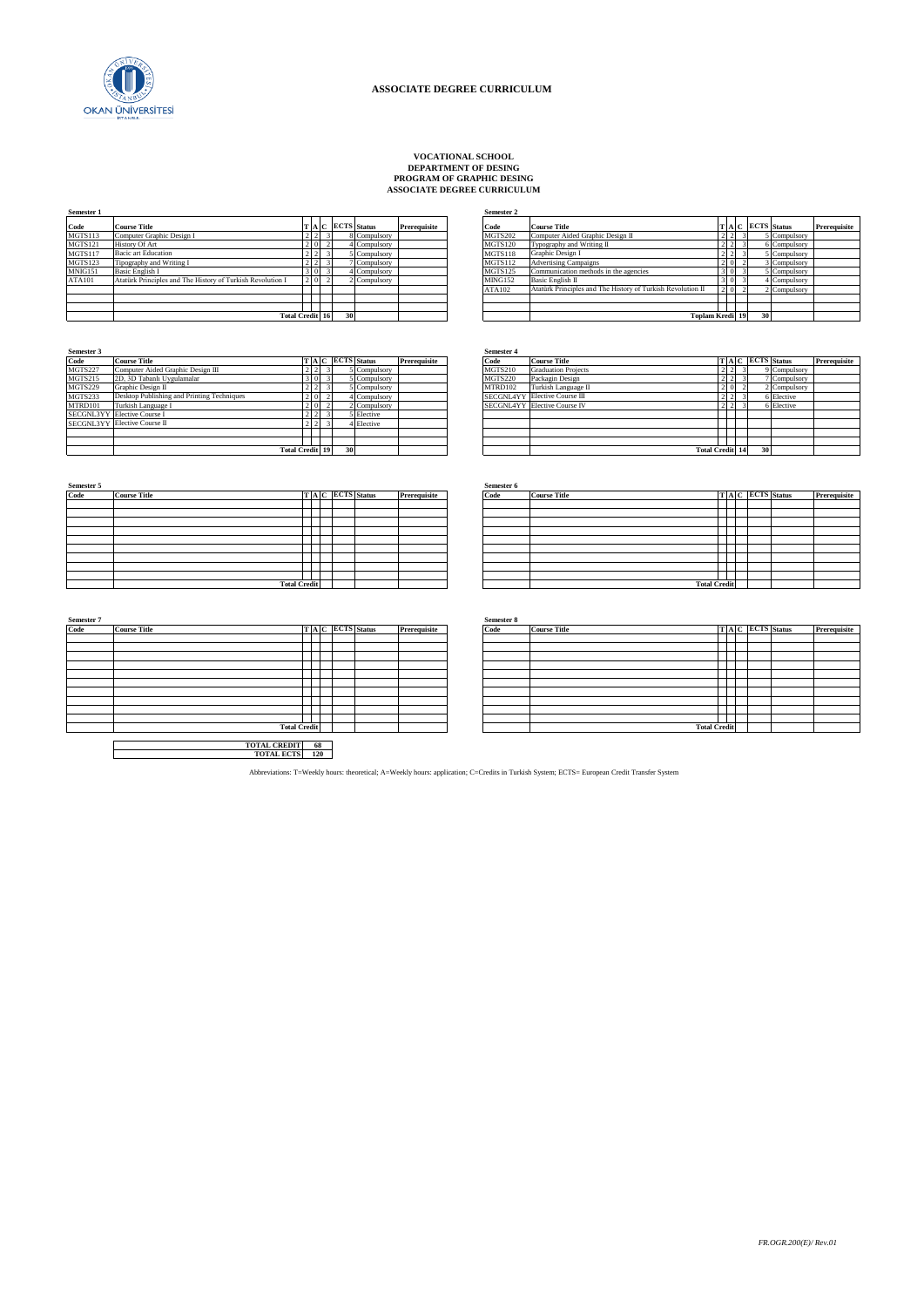

## **VOCATIONAL SCHOOL DEPARTMENT OF DESING PROGRAM OF GRAPHIC DESING ASSOCIATE DEGREE CURRICULUM**

| Prerequisite<br>5 Compulsory |
|------------------------------|
|                              |
|                              |
| 6 Compulsory                 |
| 5 Compulsory                 |
| 3 Compulsory                 |
| 5 Compulsory                 |
| 4 Compulsory                 |
| 2 Compulsory                 |
|                              |
|                              |
|                              |
|                              |

|                        |                 |  |    |                   |              | wanan s        |                                                             |                 |  |                   |              |
|------------------------|-----------------|--|----|-------------------|--------------|----------------|-------------------------------------------------------------|-----------------|--|-------------------|--------------|
|                        |                 |  |    | T A C ECTS Status | Prerequisite | Code           | <b>Course Title</b>                                         |                 |  | T A C ECTS Status | Prerequisite |
|                        | $2 \mid 2 \mid$ |  |    | 8 Compulsory      |              | <b>MGTS202</b> | Computer Aided Graphic Design II                            | $2 \mid 2$      |  | 5 Compulsory      |              |
|                        | $2 \ 0 \ 2$     |  |    | 4 Compulsory      |              | <b>MGTS120</b> | Typography and Writing II                                   | $2\overline{2}$ |  | 6 Compulsory      |              |
|                        | $2\overline{2}$ |  |    | 5 Compulsory      |              | <b>MGTS118</b> | Graphic Design I                                            | $2\overline{2}$ |  | 5 Compulsory      |              |
|                        | 2 2             |  |    | 7 Compulsory      |              | <b>MGTS112</b> | <b>Advertising Campaigns</b>                                | $2 \times 0$    |  | 3 Compulsory      |              |
|                        | 300             |  |    | 4 Compulsory      |              | <b>MGTS125</b> | Communication methods in the agencies                       | 300             |  | 5 Compulsory      |              |
|                        | 2 0 2           |  |    | 2 Compulsory      |              | <b>MING152</b> | Basic English II                                            | 3 <sup>0</sup>  |  | 4 Compulsory      |              |
|                        |                 |  |    |                   |              | ATA102         | Atatürk Principles and The History of Turkish Revolution II | $2 \ 0 \ 2$     |  | 2 Compulsory      |              |
|                        |                 |  |    |                   |              |                |                                                             |                 |  |                   |              |
|                        |                 |  |    |                   |              |                |                                                             |                 |  |                   |              |
| <b>Total Credit 16</b> |                 |  | 30 |                   |              |                | <b>Toplam Kredi 19</b>                                      |                 |  | 30                |              |

| Semester 3     |                                            |                 |      |                 |              |              | <b>Semester 4</b> |                                     |                        |  |                 |              |
|----------------|--------------------------------------------|-----------------|------|-----------------|--------------|--------------|-------------------|-------------------------------------|------------------------|--|-----------------|--------------|
| Code           | <b>Course Title</b>                        |                 |      | TAC ECTS Status |              | Prerequisite | Code              | <b>Course Title</b>                 |                        |  | TAC ECTS Status | Prerequisite |
| MGTS227        | Computer Aided Graphic Design III          | 2 2             |      |                 | 5 Compulsory |              | <b>MGTS210</b>    | <b>Graduation Projects</b>          | 212                    |  | 9 Compulsory    |              |
| <b>MGTS215</b> | 2D, 3D Tabanlı Uygulamalar                 |                 |      |                 | 5 Compulsory |              | <b>MGTS220</b>    | Packagin Design                     | 212                    |  | 7 Compulsory    |              |
| MGTS229        | Graphic Design II                          | $2 \mid 2 \mid$ |      |                 | Compulsory   |              | MTRD102           | Turkish Language II                 |                        |  | 2 Compulsory    |              |
| MGTS233        | Desktop Publishing and Printing Techniques | 2 <sub>0</sub>  |      |                 | 4 Compulsory |              |                   | SECGNL4YY Elective Course III       |                        |  | 6 Elective      |              |
| MTRD101        | Turkish Language I                         |                 | 2101 |                 | 2 Compulsory |              |                   | <b>SECGNL4YY Elective Course IV</b> |                        |  | 6 Elective      |              |
|                | SECGNL3YY Elective Course I                | 2 2             |      |                 | 5 Elective   |              |                   |                                     |                        |  |                 |              |
|                | SECGNL3YY Elective Course II               |                 |      |                 | 4 Elective   |              |                   |                                     |                        |  |                 |              |
|                |                                            |                 |      |                 |              |              |                   |                                     |                        |  |                 |              |
|                |                                            |                 |      |                 |              |              |                   |                                     |                        |  |                 |              |
|                | <b>Total Credit 19</b>                     |                 |      |                 |              |              |                   |                                     | <b>Total Credit 14</b> |  |                 |              |

| Semester 5<br>Code |                     |  |                 |              | Semester 6 |                     |  |                 |              |
|--------------------|---------------------|--|-----------------|--------------|------------|---------------------|--|-----------------|--------------|
|                    | <b>Course Title</b> |  | TAC ECTS Status | Prerequisite | Code       | <b>Course Title</b> |  | TAC ECTS Status | Prerequisite |
|                    |                     |  |                 |              |            |                     |  |                 |              |
|                    |                     |  |                 |              |            |                     |  |                 |              |
|                    |                     |  |                 |              |            |                     |  |                 |              |
|                    |                     |  |                 |              |            |                     |  |                 |              |
|                    |                     |  |                 |              |            |                     |  |                 |              |
|                    |                     |  |                 |              |            |                     |  |                 |              |
|                    |                     |  |                 |              |            |                     |  |                 |              |
|                    |                     |  |                 |              |            |                     |  |                 |              |
|                    |                     |  |                 |              |            |                     |  |                 |              |
|                    | <b>Total Credit</b> |  |                 |              |            | <b>Total Credit</b> |  |                 |              |

| Semester 7 |                     |                     |     |  |                 |              | Semester 8 |
|------------|---------------------|---------------------|-----|--|-----------------|--------------|------------|
| Code       | <b>Course Title</b> |                     |     |  | TAC ECTS Status | Prerequisite | Code       |
|            |                     |                     |     |  |                 |              |            |
|            |                     |                     |     |  |                 |              |            |
|            |                     |                     |     |  |                 |              |            |
|            |                     |                     |     |  |                 |              |            |
|            |                     |                     |     |  |                 |              |            |
|            |                     |                     |     |  |                 |              |            |
|            |                     |                     |     |  |                 |              |            |
|            |                     |                     |     |  |                 |              |            |
|            |                     |                     |     |  |                 |              |            |
|            |                     |                     |     |  |                 |              |            |
|            |                     | <b>Total Credit</b> |     |  |                 |              |            |
|            |                     |                     |     |  |                 |              |            |
|            |                     | <b>TOTAL CREDIT</b> | 68  |  |                 |              |            |
|            |                     | <b>TOTAL ECTS</b>   | 120 |  |                 |              |            |

|                        |                 |                     |    |                   |              | эсшемен 4      |                                     |                        |                  |  |    |                   |              |
|------------------------|-----------------|---------------------|----|-------------------|--------------|----------------|-------------------------------------|------------------------|------------------|--|----|-------------------|--------------|
|                        |                 |                     |    | T A C ECTS Status | Prerequisite | Code           | <b>Course Title</b>                 |                        |                  |  |    | T A C ECTS Status | Prerequisite |
|                        | 2 2             |                     |    | 5 Compulsory      |              | <b>MGTS210</b> | <b>Graduation Projects</b>          |                        | $2 \mid 2$       |  |    | 9 Compulsory      |              |
|                        | 300             |                     |    | 5 Compulsory      |              | <b>MGTS220</b> | Packagin Design                     |                        | $2 \mid 2$       |  |    | 7 Compulsory      |              |
|                        | $2\overline{2}$ |                     |    | 5 Compulsory      |              | MTRD102        | Turkish Language II                 |                        | 200              |  |    | 2 Compulsory      |              |
|                        | $2\ 0$          |                     |    | Compulsory        |              |                | SECGNL4YY Elective Course III       |                        | $2 \mid 2$       |  |    | 6 Elective        |              |
|                        | 2 0             |                     |    | 2 Compulsory      |              |                | <b>SECGNL4YY Elective Course IV</b> |                        | $2 \overline{2}$ |  |    | 6 Elective        |              |
|                        |                 | $2 \quad 2 \quad 3$ |    | 5 Elective        |              |                |                                     |                        |                  |  |    |                   |              |
|                        | 2 2             |                     |    | Elective          |              |                |                                     |                        |                  |  |    |                   |              |
|                        |                 |                     |    |                   |              |                |                                     |                        |                  |  |    |                   |              |
|                        |                 |                     |    |                   |              |                |                                     |                        |                  |  |    |                   |              |
| <b>Total Credit 19</b> |                 |                     | 30 |                   |              |                |                                     | <b>Total Credit 14</b> |                  |  | 30 |                   |              |

|                     |  |  |                 |              | Semester 6 |                     |                     |  |                   |              |
|---------------------|--|--|-----------------|--------------|------------|---------------------|---------------------|--|-------------------|--------------|
|                     |  |  | TAC ECTS Status | Prerequisite | Code       | <b>Course Title</b> |                     |  | T A C ECTS Status | Prerequisite |
|                     |  |  |                 |              |            |                     |                     |  |                   |              |
|                     |  |  |                 |              |            |                     |                     |  |                   |              |
|                     |  |  |                 |              |            |                     |                     |  |                   |              |
|                     |  |  |                 |              |            |                     |                     |  |                   |              |
|                     |  |  |                 |              |            |                     |                     |  |                   |              |
|                     |  |  |                 |              |            |                     |                     |  |                   |              |
|                     |  |  |                 |              |            |                     |                     |  |                   |              |
|                     |  |  |                 |              |            |                     |                     |  |                   |              |
|                     |  |  |                 |              |            |                     |                     |  |                   |              |
| <b>Total Credit</b> |  |  |                 |              |            |                     | <b>Total Credit</b> |  |                   |              |

| Semester 7 |                     |  |                 |              | Semester 8 |                     |  |  |                 |              |
|------------|---------------------|--|-----------------|--------------|------------|---------------------|--|--|-----------------|--------------|
| Code       | <b>Course Title</b> |  | TAC ECTS Status | Prerequisite | Code       | <b>Course Title</b> |  |  | TAC ECTS Status | Prerequisite |
|            |                     |  |                 |              |            |                     |  |  |                 |              |
|            |                     |  |                 |              |            |                     |  |  |                 |              |
|            |                     |  |                 |              |            |                     |  |  |                 |              |
|            |                     |  |                 |              |            |                     |  |  |                 |              |
|            |                     |  |                 |              |            |                     |  |  |                 |              |
|            |                     |  |                 |              |            |                     |  |  |                 |              |
|            |                     |  |                 |              |            |                     |  |  |                 |              |
|            |                     |  |                 |              |            |                     |  |  |                 |              |
|            |                     |  |                 |              |            |                     |  |  |                 |              |
|            |                     |  |                 |              |            |                     |  |  |                 |              |
|            | <b>Total Credit</b> |  |                 |              |            | <b>Total Credit</b> |  |  |                 |              |

Abbreviations: T=Weekly hours: theoretical; A=Weekly hours: application; C=Credits in Turkish System; ECTS= European Credit Transfer System